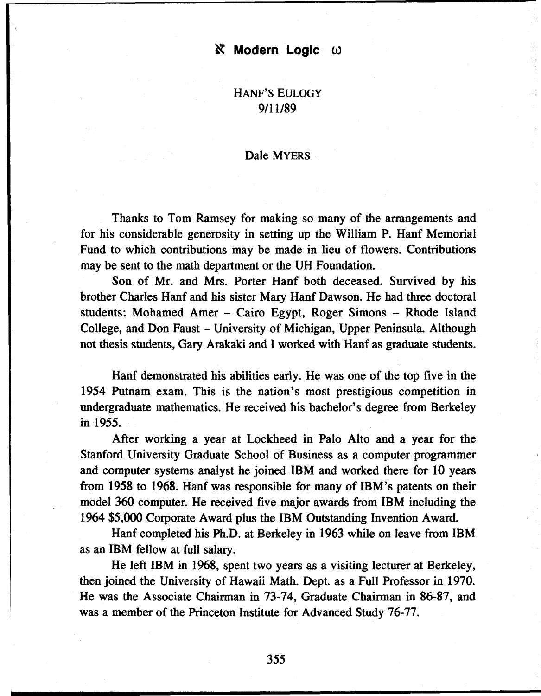## *N* Modern Logic ω

HANF'S EULOGY 9/11/89

## Dale MYERS

Thanks to Tom Ramsey for making so many of the arrangements and for his considerable generosity in setting up the William P. Hanf Memorial Fund to which contributions may be made in lieu of flowers. Contributions may be sent to the math department or the UH Foundation.

Son of Mr. and Mrs. Porter Hanf both deceased. Survived by his brother Charles Hanf and his sister Mary Hanf Dawson. He had three doctoral students: Mohamed Amer - Cairo Egypt, Roger Simons - Rhode Island College, and Don Faust - University of Michigan, Upper Peninsula. Although not thesis students, Gary Arakaki and I worked with Hanf as graduate students.

Hanf demonstrated his abilities early. He was one of the top five in the 1954 Putnam exam. This is the nation's most prestigious competition in undergraduate mathematics. He received his bachelor's degree from Berkeley in 1955.

After working a year at Lockheed in Palo Alto and a year for the Stanford University Graduate School of Business as a computer programmer and computer systems analyst he joined IBM and worked there for 10 years from 1958 to 1968. Hanf was responsible for many of IBM's patents on their model 360 computer. He received five major awards from IBM including the 1964 \$5,000 Corporate Award plus the IBM Outstanding Invention Award.

Hanf completed his Ph.D. at Berkeley in 1963 while on leave from IBM as an IBM fellow at full salary.

He left IBM in 1968, spent two years as a visiting lecturer at Berkeley, then joined the University of Hawaii Math. Dept. as a Full Professor in 1970. He was the Associate Chairman in 73-74, Graduate Chairman in 86-87, and was a member of the Princeton Institute for Advanced Study 76-77.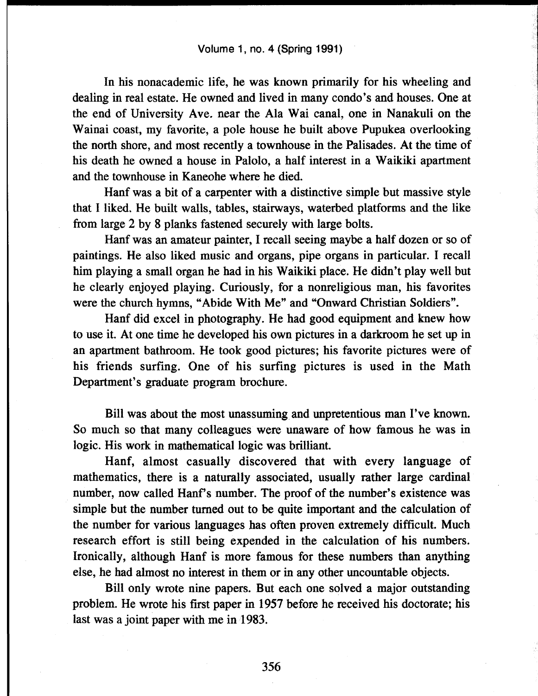In his nonacademic life, he was known primarily for his wheeling and dealing in real estate. He owned and lived in many condo's and houses. One at the end of University Ave. near the Ala Wai canal, one in Nanakuli on the Wainai coast, my favorite, a pole house he built above Pupukea overlooking the north shore, and most recently a townhouse in the Palisades. At the time of his death he owned a house in Paiolo, a half interest in a Waikiki apartment and the townhouse in Kaneohe where he died.

Hanf was a bit of a carpenter with a distinctive simple but massive style that I liked. He built walls, tables, stairways, waterbed platforms and the like from large 2 by 8 planks fastened securely with large bolts.

Hanf was an amateur painter, I recall seeing maybe a half dozen or so of paintings. He also liked music and organs, pipe organs in particular. I recall him playing a small organ he had in his Waikiki place. He didn't play well but he clearly enjoyed playing. Curiously, for a nonreligious man, his favorites were the church hymns, "Abide With Me" and "Onward Christian Soldiers".

Hanf did excel in photography. He had good equipment and knew how to use it. At one time he developed his own pictures in a darkroom he set up in an apartment bathroom. He took good pictures; his favorite pictures were of his friends surfing. One of his surfing pictures is used in the Math Department's graduate program brochure.

Bill was about the most unassuming and unpretentious man I've known. So much so that many colleagues were unaware of how famous he was in logic. His work in mathematical logic was brilliant.

Hanf, almost casually discovered that with every language of mathematics, there is a naturally associated, usually rather large cardinal number, now called Hanf's number. The proof of the number's existence was simple but the number turned out to be quite important and the calculation of the number for various languages has often proven extremely difficult. Much research effort is still being expended in the calculation of his numbers. Ironically, although Hanf is more famous for these numbers than anything else, he had almost no interest in them or in any other uncountable objects.

Bill only wrote nine papers. But each one solved a major outstanding problem. He wrote his first paper in 1957 before he received his doctorate; his last was a joint paper with me in 1983.